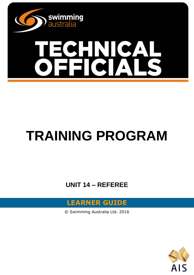

# **TRAINING PROGRAM**

**UNIT 14 – REFEREE**



© Swimming Australia Ltd. 2016

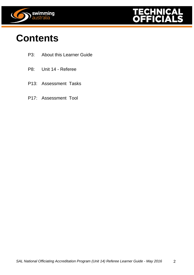



### **Contents**

- P3: About this Learner Guide
- P8: Unit 14 Referee
- P13: Assessment Tasks
- P17: Assessment Tool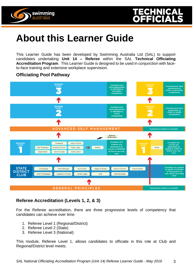



## **About this Learner Guide**

This Learner Guide has been developed by Swimming Australia Ltd (SAL) to support candidates undertaking **Unit 14 – Referee** within the SAL **Technical Officiating Accreditation Program**. This Learner Guide is designed to be used in conjunction with faceto-face training and extensive workplace supervision.

#### **Officiating Pool Pathway**



#### **Referee Accreditation (Levels 1, 2, & 3)**

For the Referee accreditation, there are three progressive levels of competency that candidates can achieve over time:

- 1. Referee Level 1 (Regional/District)
- 2. Referee Level 2 (State)
- 3. Referee Level 3 (National)

This module, Referee Level 1, allows candidates to officiate in this role at Club and Regional/District level meets.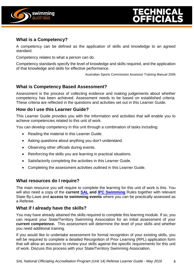

#### **What is a Competency?**

A competency can be defined as the application of skills and knowledge to an agreed standard.

Competency relates to what a person can do.

Competency standards specify the level of knowledge and skills required, and the application of that knowledge and skills for effective performance.

Australian Sports Commission Assessor Training Manual 2006

#### **What is Competency Based Assessment?**

Assessment is the process of collecting evidence and making judgements about whether competency has been achieved. Assessment needs to be based on established criteria. These criteria are reflected in the questions and activities set out in this Learner Guide.

#### **How do I use this Learner Guide?**

This Learner Guide provides you with the information and activities that will enable you to achieve competencies related to this unit of work.

You can develop competency in this unit through a combination of tasks including:

- Reading the material in this Learner Guide.
- Asking questions about anything you don't understand.
- Observing other officials during events.
- Reinforcing the skills you are learning in practical situations.
- Satisfactorily completing the activities in this Learner Guide.
- Completing the assessment activities outlined in this Learner Guide.

#### **What resources do I require?**

The main resource you will require to complete the learning for this unit of work is this. You will also need a copy of the **current [SAL](http://www.swimming.org.au/getattachment/97ba70b2-e137-4860-b54d-25818423cf6d/SAL-Swimming-Rules-JAN-2014-updated-05-02-15.pdf.aspx?chset=7dee52e1-598a-491d-ac3c-f3d5867be197&disposition=attachment) and [IPC Swimming](https://www.paralympic.org/swimming/rules-and-regulations)** Rules together with relevant State By-Laws and **access to swimming events** where you can be practically assessed as a Referee.

#### **What if I already have the skills?**

You may have already attained the skills required to complete this learning module. If so, you can request your State/Territory Swimming Association for an initial assessment of your **current competence.** This assessment will determine the level of your skills and whether you need additional training.

If you would like to undertake assessment for formal recognition of your existing skills, you will be required to complete a detailed Recognition of Prior Learning (RPL) application form that will allow an assessor to review your skills against the specific requirements for this unit of work. Discuss this process with your State/Territory Swimming Association.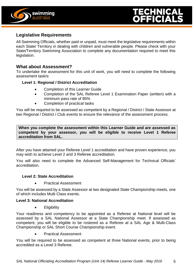



#### **Legislative Requirements**

All Swimming Officials, whether paid or unpaid, must meet the legislative requirements within each State/ Territory in dealing with children and vulnerable people. Please check with your State/Territory Swimming Association to complete any documentation required to meet this legislation.

#### **What about Assessment?**

To undertake the assessment for this unit of work, you will need to complete the following assessment task/s:

#### **Level 1: Regional / District Accreditation**

- Completion of this Learner Guide
- Completion of the SAL Referee Level 1 Examination Paper (written) with a minimum pass rate of 85%
- Completion of practical tasks

You will be required to be assessed as competent by a Regional / District / State Assessor at two Regional / District / Club events to ensure the relevance of the assessment process.

**When you complete the assessment within this Learner Guide and are assessed as competent by your assessor, you will be eligible to receive Level 1 Referee accreditation from SAL.**

After you have attained your Referee Level 1 accreditation and have proven experience, you may wish to achieve Level 2 and 3 Referee accreditation.

You will also need to complete the Advanced Self-Management for Technical Officials' accreditation.

#### **Level 2: State Accreditation**

Practical Assessment

You will be assessed by a State Assessor at two designated State Championship meets, one of which includes Multi Class events.

#### **Level 3: National Accreditation**

• Eligibility

Your readiness and competency to be appointed as a Referee at National level will be assessed by a SAL National Assessor at a State Championship meet. If assessed as competent, you will be eligible to be rostered as a Referee at a SAL Age & Multi-Class Championship or SAL Short Course Championship event.

Practical Assessment

You will be required to be assessed as competent at three National events, prior to being accredited as a Level 3 Referee.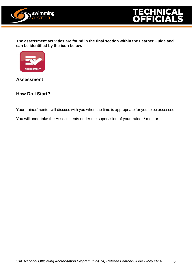



**The assessment activities are found in the final section within the Learner Guide and can be identified by the icon below.**



**Assessment**

#### **How Do I Start?**

Your trainer/mentor will discuss with you when the time is appropriate for you to be assessed.

You will undertake the Assessments under the supervision of your trainer / mentor.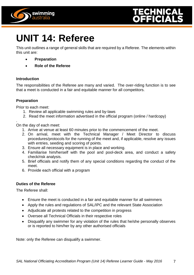



## **UNIT 14: Referee**

This unit outlines a range of general skills that are required by a Referee. The elements within this unit are:

- **Preparation**
- **Role of the Referee**

#### **Introduction**

The responsibilities of the Referee are many and varied. The over-riding function is to see that a meet is conducted in a fair and equitable manner for all competitors.

#### **Preparation**

Prior to each meet:

- 1. Review all applicable swimming rules and by-laws
- 2. Read the meet information advertised in the official program (online / hardcopy)

. On the day of each meet:

- 1. Arrive at venue at least 60 minutes prior to the commencement of the meet.
- 2. On arrival, meet with the Technical Manager / Meet Director to discuss procedures/protocols for the running of the meet and, if applicable, resolve any issues with entries, seeding and scoring of points.
- 3. Ensure all necessary equipment is in place and working.
- 4. Familiarise him/herself with the pool and pool-deck area, and conduct a safety check/risk analysis.
- 5. Brief officials and notify them of any special conditions regarding the conduct of the meet.
- 6. Provide each official with a program

#### **Duties of the Referee**

The Referee shall:

- Ensure the meet is conducted in a fair and equitable manner for all swimmers
- Apply the rules and regulations of SAL/IPC and the relevant State Association
- Adjudicate all protests related to the competition in progress
- Oversee all Technical Officials in their respective roles
- Disqualify any swimmer for any violation of the rules that he/she personally observes or is reported to him/her by any other authorised officials

Note: only the Referee can disqualify a swimmer.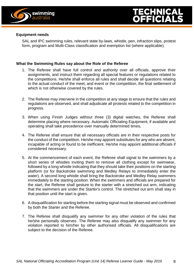

#### **Equipment needs**

SAL and IPC swimming rules, relevant state by-laws, whistle, pen, infraction slips, protest form, program and Multi-Class classification and exemption list (where applicable).

#### **What the Swimming Rules say about the Role of the Referee**

- 1. The Referee shall have full control and authority over all officials, approve their assignments, and instruct them regarding all special features or regulations related to the competitions. He/she shall enforce all rules and shall decide all questions relating to the actual conduct of the meet, and event or the competition, the final settlement of which is not otherwise covered by the rules.
- 2. The Referee may intervene in the competition at any stage to ensure that the rules and regulations are observed, and shall adjudicate all protests related to the competition in progress.
- 3. When using Finish Judges without three (3) digital watches, the Referee shall determine placing where necessary. Automatic Officiating Equipment, if available and operating shall take precedence over manually determined times**.**
- 4. The Referee shall ensure that all necessary officials are in their respective posts for the conduct of the competition. He/she may appoint substitutes for any who are absent, incapable of acting or found to be inefficient. He/she may appoint additional officials if considered necessary.
- 5. At the commencement of each event, the Referee shall signal to the swimmers by a short series of whistles inviting them to remove all clothing except for swimwear, followed by a long whistle indicating that they should take their positions on the starting platform (or for Backstroke swimming and Medley Relays to immediately enter the water). A second long whistle shall bring the Backstroke and Medley Relay swimmers immediately to the starting position. When the swimmers and officials are prepared for the start, the Referee shall gesture to the starter with a stretched out arm, indicating that the swimmers are under the Starter's control. The stretched out arm shall stay in that position until the start is given.
- 6. A disqualification for starting before the starting signal must be observed and confirmed by both the Starter and the Referee.
- 7. The Referee shall disqualify any swimmer for any other violation of the rules that he/she personally observes. The Referee may also disqualify any swimmer for any violation reported to him/her by other authorised officials. All disqualifications are subject to the decision of the Referee.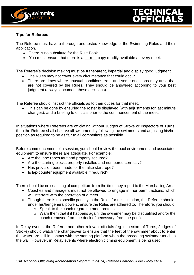



#### **Tips for Referees**

The Referee must have a thorough and tested knowledge of the Swimming Rules and their application.

- There is no substitute for the Rule Book.
- You must ensure that there is a current copy readily available at every meet.

The Referee's decision making must be transparent, impartial and display good judgment.

- The Rules may not cover every circumstance that could occur.
- There are times where unusual conditions exist and some questions may arise that are not covered by the Rules. They should be answered according to your best judgment (always document these decisions).

The Referee should instruct the officials as to their duties for that meet.

• This can be done by ensuring the roster is displayed (with adjustments for last minute changes), and a briefing to officials prior to the commencement of the meet.

In situations where Referees are officiating without Judges of Stroke or Inspectors of Turns, then the Referee shall observe all swimmers by following the swimmers and adjusting his/her position as required to be as fair to all competitors as possible.

Before commencement of a session, you should review the pool environment and associated equipment to ensure these are adequate. For example:

- Are the lane ropes taut and properly secured?
- Are the starting blocks properly installed and numbered correctly?
- Has provision been made for the false start rope?
- Is lap-counter equipment available if required?

There should be no coaching of competitors from the time they report to the Marshalling Area.

- Coaches and managers must not be allowed to engage in, nor permit actions, which will interfere with the operation of a meet.
- Though there is no specific penalty in the Rules for this situation, the Referee should, under his/her general powers, ensure the Rules are adhered to. Therefore, you should:
	- o Speak to the coach regarding meet protocols
	- o Warn them that if it happens again, the swimmer may be disqualified and/or the coach removed from the deck (if necessary, from the pool).

In Relay events, the Referee and other relevant officials (eg Inspectors of Turns, Judges of Stroke) should watch the changeover to ensure that the feet of the swimmer about to enter the water are still in contact with the starting platform when the preceding swimmer touches the wall. However, in Relay events where electronic timing equipment is being used: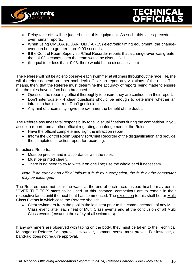



- Relay take-offs will be judged using this equipment. As such, this takes precedence over human reports.
- When using OMEGA (QUANTUM / ARES) electronic timing equipment, the changeover can be no greater than -0.03 seconds.
- If the Control Room Supervisor/Chief Recorder reports that a change-over was greater than -0.03 seconds, then the team would be disqualified.
- (If equal to or less than -0.03, there would be no disqualification)

The Referee will not be able to observe each swimmer at all times throughout the race. He/she will therefore depend on other pool deck officials to report any violations of the rules. This means, then, that the Referee must determine the accuracy of reports being made to ensure that the rules have in fact been breached.

- Question the reporting official thoroughly to ensure they are confident in their report.
- Don't interrogate 4 clear questions should be enough to determine whether an infraction has occurred. Don't gesticulate.
- Any hint of uncertainty give the swimmer the benefit of the doubt.

The Referee assumes total responsibility for all disqualifications during the competition. If you accept a report from another official regarding an infringement of the Rules:

- Have the official complete and sign the infraction report.
- Inform the Control Room Supervisor/Chief Recorder of the disqualification and provide the completed infraction report for recording.

Infractions Reports:

- Must be precise and in accordance with the rules.
- Must be printed clearly.
- There is no need to try to write it on one line; use the whole card if necessary.

*Note: if an error by an official follows a fault by a competitor, the fault by the competitor may be expunged.*

The Referee need not clear the water at the end of each race. Instead he/she may permit "OVER THE TOP" starts to be used. In this instance, competitors are to remain in their respective lanes until the next heat has commenced. The exception to this shall be for Multi Class Events in which case the Referee should:

 Clear swimmers from the pool in the last heat prior to the commencement of any Multi Class event, after each heat of Multi Class events and at the conclusion of all Multi Class events (ensuring the safety of all swimmers).

If any swimmers are observed with taping on the body, they must be taken to the Technical Manager or Referee for approval. However, common sense must prevail. For instance, a band-aid does not require approval.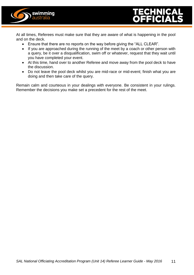



At all times, Referees must make sure that they are aware of what is happening in the pool and on the deck.

- Ensure that there are no reports on the way before giving the "ALL CLEAR".
- If you are approached during the running of the meet by a coach or other person with a query, be it over a disqualification, swim off or whatever, request that they wait until you have completed your event.
- At this time, hand over to another Referee and move away from the pool deck to have the discussion.
- Do not leave the pool deck whilst you are mid-race or mid-event; finish what you are doing and then take care of the query.

Remain calm and courteous in your dealings with everyone. Be consistent in your rulings. Remember the decisions you make set a precedent for the rest of the meet.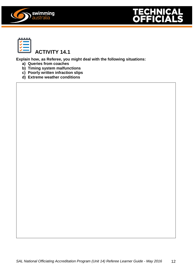





**Protests**

### **ACTIVITY 14.1**

**Explain how, as Referee, you might deal with the following situations:**

- **a) Queries from coaches**
- **b) Timing system malfunctions**
- **c) Poorly written infraction slips**
- **d) Extreme weather conditions**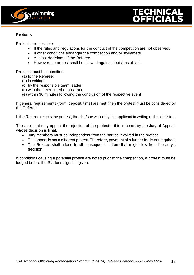



#### **Protests**

Protests are possible:

- If the rules and regulations for the conduct of the competition are not observed.
- If other conditions endanger the competition and/or swimmers.
- Against decisions of the Referee.
- However, no protest shall be allowed against decisions of fact.

Protests must be submitted:

- (a) to the Referee;
- (b) in writing;
- (c) by the responsible team leader;
- (d) with the determined deposit and
- (e) within 30 minutes following the conclusion of the respective event

If general requirements (form, deposit, time) are met, then the protest must be considered by the Referee.

If the Referee rejects the protest, then he/she will notify the applicant in writing of this decision.

The applicant may appeal the rejection of the protest – this is heard by the Jury of Appeal, whose decision is **final.**

- Jury members must be independent from the parties involved in the protest.
- The appeal is not a different protest. Therefore, payment of a further fee is not required.
- The Referee shall attend to all consequent matters that might flow from the Jury's decision.

If conditions causing a potential protest are noted prior to the competition, a protest must be lodged before the Starter's signal is given.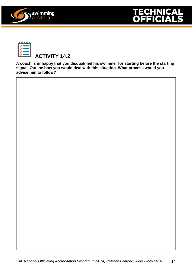





**A coach is unhappy that you disqualified his swimmer for starting before the starting signal. Outline how you would deal with this situation. What process would you advise him to follow?**

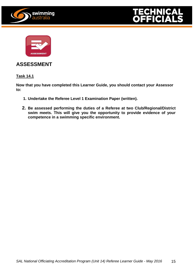





#### **ASSESSMENT**

**Task 14.1**

**Now that you have completed this Learner Guide, you should contact your Assessor to:**

- **1. Undertake the Referee Level 1 Examination Paper (written).**
- **2. Be assessed performing the duties of a Referee at two Club/Regional/District swim meets. This will give you the opportunity to provide evidence of your competence in a swimming specific environment.**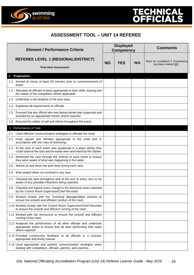



swimming<br>australia

| <b>Element / Performance Criteria</b> |                                                                                                                                                            | <b>Displayed</b><br><b>Competency</b> |            |     | <b>Comments</b>                                       |
|---------------------------------------|------------------------------------------------------------------------------------------------------------------------------------------------------------|---------------------------------------|------------|-----|-------------------------------------------------------|
|                                       | <b>REFEREE LEVEL 1 (REGIONAL/DISTRICT)</b><br><b>Pool deck Assessment</b>                                                                                  | <b>NO</b>                             | <b>YES</b> | N/A | Must be completed if Competency<br>has been marked NO |
|                                       | Preparation                                                                                                                                                |                                       |            |     |                                                       |
|                                       | 1.1 Arrived at venue at least 60 minutes prior to commencement of<br>event.                                                                                |                                       |            |     |                                                       |
|                                       | 1.2 Allocated all officials to tasks appropriate to their skills, training and<br>the needs of the competition where applicable.                           |                                       |            |     |                                                       |
|                                       | 1.3 Undertook a risk analysis of the pool area.                                                                                                            |                                       |            |     |                                                       |
| 1.4                                   | Explained all requirements to officials.                                                                                                                   |                                       |            |     |                                                       |
|                                       | 1.5 Ensured that any official who was being trained was supported and<br>assisted by an appropriate mentor where required.                                 |                                       |            |     |                                                       |
| 1.6                                   | Ensured the safety of self and others throughout the event.                                                                                                |                                       |            |     |                                                       |
|                                       | 2 Performance of Task                                                                                                                                      |                                       |            |     |                                                       |
| 2.1                                   | Used effective communication strategies to officiate the meet.                                                                                             |                                       |            |     |                                                       |
| $2.2^{\circ}$                         | Used signals and whistles appropriate to the meet and in<br>accordance with the rules of swimming.                                                         |                                       |            |     |                                                       |
|                                       | 2.3 At the start of each event was positioned in a place where they<br>could observe the start and be easily seen and heard by the Starter.                |                                       |            |     |                                                       |
| 2.4                                   | Monitored the race through the entirety of each event to ensure<br>they were aware of what was happening in the water.                                     |                                       |            |     |                                                       |
| 2.5                                   | Moved up and down the pool deck during each race.                                                                                                          |                                       |            |     |                                                       |
| 2.6                                   | Was seated when not involved in any race.                                                                                                                  |                                       |            |     |                                                       |
|                                       | 2.7 Checked the pool throughout and at the end of every race to be<br>aware of any possible infractions being reported.                                    |                                       |            |     |                                                       |
|                                       | 2.8 Checked and signed every change to the electronic times reported<br>by the Control Room Supervisor/Chief Recorder.                                     |                                       |            |     |                                                       |
|                                       | 2.9 Worked closely with the Technical Manager/Meet Director to<br>ensure the smooth and efficient conduct of the meet.                                     |                                       |            |     |                                                       |
|                                       | 2.10 Worked closely with the Control Room Supervisor/Chief Recorder<br>to ensure the smooth and efficient running of the meet.                             |                                       |            |     |                                                       |
|                                       | 2.11 Worked with the Announcer to ensure the smooth and efficient<br>running of the meet.                                                                  |                                       |            |     |                                                       |
|                                       | 2.12 Analysed the performance of all other officials and undertook<br>appropriate action to ensure that all were performing their tasks<br>where required. |                                       |            |     |                                                       |
|                                       | 2.13 Provided constructive feedback to all officials in a concise,<br>appropriate and timely manner.                                                       |                                       |            |     |                                                       |
|                                       | 2.14 Used appropriate and positive communication strategies when<br>dealing with competitors, officials, parents, and coaches.                             |                                       |            |     |                                                       |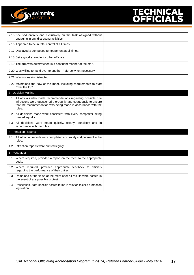

|     | 2.15 Focused entirely and exclusively on the task assigned without<br>engaging in any distracting activities.                                                                                                     |  |  |  |  |
|-----|-------------------------------------------------------------------------------------------------------------------------------------------------------------------------------------------------------------------|--|--|--|--|
|     | 2.16 Appeared to be in total control at all times.                                                                                                                                                                |  |  |  |  |
|     | 2.17 Displayed a composed temperament at all times.                                                                                                                                                               |  |  |  |  |
|     | 2.18 Set a good example for other officials.                                                                                                                                                                      |  |  |  |  |
|     | 2.19 The arm was outstretched in a confident manner at the start.                                                                                                                                                 |  |  |  |  |
|     | 2.20 Was willing to hand over to another Referee when necessary.                                                                                                                                                  |  |  |  |  |
|     | 2.21 Was not easily distracted.                                                                                                                                                                                   |  |  |  |  |
|     | 2.22 Maintained the flow of the meet, including requirements to start<br>"over the top".                                                                                                                          |  |  |  |  |
|     | 3 Decision Making                                                                                                                                                                                                 |  |  |  |  |
|     | 3.1 All officials who made recommendations regarding possible rule<br>infractions were questioned thoroughly and courteously to ensure<br>that the recommendation was being made in accordance with the<br>rules. |  |  |  |  |
|     | 3.2 All decisions made were consistent with every competitor being<br>treated equally.                                                                                                                            |  |  |  |  |
|     | 3.3 All decisions were made quickly, clearly, concisely and in<br>accordance with the rules.                                                                                                                      |  |  |  |  |
|     | 4 Infraction Reports                                                                                                                                                                                              |  |  |  |  |
| 4.1 | All infraction reports were completed accurately and pursuant to the<br>rules.                                                                                                                                    |  |  |  |  |
|     | 4.2 Infraction reports were printed legibly.                                                                                                                                                                      |  |  |  |  |
|     | 5 Post Meet                                                                                                                                                                                                       |  |  |  |  |
| 5.1 | Where required, provided a report on the meet to the appropriate<br>body.                                                                                                                                         |  |  |  |  |
|     | 5.2 Where required, provided appropriate feedback to officials<br>regarding the performance of their duties.                                                                                                      |  |  |  |  |
| 5.3 | Remained at the finish of the meet after all results were posted in<br>the event of any possible protest.                                                                                                         |  |  |  |  |
| 5.4 | Possesses State-specific accreditation in relation to child protection<br>legislation.                                                                                                                            |  |  |  |  |